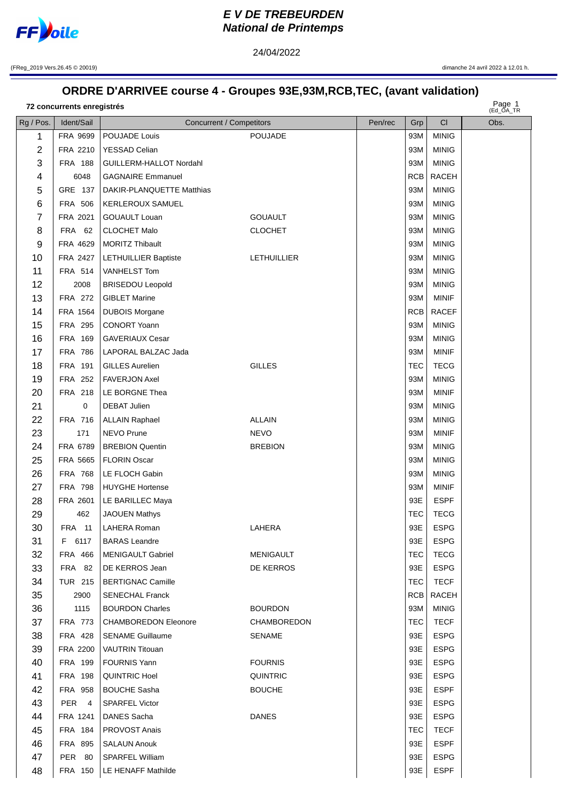

## **E V DE TREBEURDEN National de Printemps**

(FReg\_2019 Vers.26.45 © 20019) dimanche 24 avril 2022 à 12.01 h.

## **ORDRE D'ARRIVEE course 4 - Groupes 93E,93M,RCB,TEC, (avant validation)**

24/04/2022

Page 1 **concurrents enregistrés**

Page 1<br>(Ed\_OA\_TR

| Rg / Pos.      | Ident/Sail       | Concurrent / Competitors    |                    | Pen/rec | Grp        | CI           | Obs. |
|----------------|------------------|-----------------------------|--------------------|---------|------------|--------------|------|
| 1              | FRA 9699         | POUJADE Louis               | <b>POUJADE</b>     |         | 93M        | <b>MINIG</b> |      |
| $\overline{2}$ | FRA 2210         | <b>YESSAD Celian</b>        |                    |         | 93M        | <b>MINIG</b> |      |
| 3              | <b>FRA 188</b>   | GUILLERM-HALLOT Nordahl     |                    |         | 93M        | <b>MINIG</b> |      |
| 4              | 6048             | <b>GAGNAIRE Emmanuel</b>    |                    |         | RCB        | <b>RACEH</b> |      |
| 5              | GRE 137          | DAKIR-PLANQUETTE Matthias   |                    |         | 93M        | <b>MINIG</b> |      |
| 6              | <b>FRA 506</b>   | KERLEROUX SAMUEL            |                    |         | 93M        | <b>MINIG</b> |      |
| 7              | FRA 2021         | <b>GOUAULT Louan</b>        | <b>GOUAULT</b>     |         | 93M        | <b>MINIG</b> |      |
| 8              | <b>FRA 62</b>    | <b>CLOCHET Malo</b>         | <b>CLOCHET</b>     |         | 93M        | <b>MINIG</b> |      |
| 9              | FRA 4629         | <b>MORITZ Thibault</b>      |                    |         | 93M        | <b>MINIG</b> |      |
| 10             | FRA 2427         | LETHUILLIER Baptiste        | <b>LETHUILLIER</b> |         | 93M        | <b>MINIG</b> |      |
| 11             | FRA 514          | VANHELST Tom                |                    |         | 93M        | <b>MINIG</b> |      |
| 12             | 2008             | <b>BRISEDOU Leopold</b>     |                    |         | 93M        | <b>MINIG</b> |      |
| 13             | FRA 272          | <b>GIBLET Marine</b>        |                    |         | 93M        | <b>MINIF</b> |      |
| 14             | FRA 1564         | <b>DUBOIS Morgane</b>       |                    |         | RCB        | <b>RACEF</b> |      |
| 15             | FRA 295          | <b>CONORT Yoann</b>         |                    |         | 93M        | <b>MINIG</b> |      |
| 16             | FRA 169          | <b>GAVERIAUX Cesar</b>      |                    |         | 93M        | <b>MINIG</b> |      |
| 17             | <b>FRA 786</b>   | LAPORAL BALZAC Jada         |                    |         | 93M        | <b>MINIF</b> |      |
| 18             | FRA 191          | <b>GILLES Aurelien</b>      | <b>GILLES</b>      |         | <b>TEC</b> | <b>TECG</b>  |      |
| 19             | <b>FRA 252</b>   | <b>FAVERJON Axel</b>        |                    |         | 93M        | <b>MINIG</b> |      |
| 20             | FRA 218          | LE BORGNE Thea              |                    |         | 93M        | <b>MINIF</b> |      |
| 21             | 0                | <b>DEBAT Julien</b>         |                    |         | 93M        | <b>MINIG</b> |      |
| 22             | FRA 716          | <b>ALLAIN Raphael</b>       | <b>ALLAIN</b>      |         | 93M        | <b>MINIG</b> |      |
| 23             | 171              | NEVO Prune                  | <b>NEVO</b>        |         | 93M        | <b>MINIF</b> |      |
| 24             | FRA 6789         | <b>BREBION Quentin</b>      | <b>BREBION</b>     |         | 93M        | <b>MINIG</b> |      |
| 25             | FRA 5665         | <b>FLORIN Oscar</b>         |                    |         | 93M        | <b>MINIG</b> |      |
| 26             | <b>FRA 768</b>   | LE FLOCH Gabin              |                    |         | 93M        | <b>MINIG</b> |      |
| 27             | <b>FRA 798</b>   | <b>HUYGHE Hortense</b>      |                    |         | 93M        | <b>MINIF</b> |      |
| 28             | FRA 2601         | LE BARILLEC Maya            |                    |         | 93E        | <b>ESPF</b>  |      |
| 29             | 462              | <b>JAOUEN Mathys</b>        |                    |         | <b>TEC</b> | <b>TECG</b>  |      |
| 30             | <b>FRA</b> 11    | LAHERA Roman                | LAHERA             |         | 93E        | <b>ESPG</b>  |      |
| 31             |                  | F 6117   BARAS Leandre      |                    |         | 93E        | <b>ESPG</b>  |      |
| 32             | FRA 466          | <b>MENIGAULT Gabriel</b>    | MENIGAULT          |         | TEC        | TECG         |      |
| 33             | <b>FRA 82</b>    | DE KERROS Jean              | DE KERROS          |         | 93E        | <b>ESPG</b>  |      |
| 34             | TUR 215          | <b>BERTIGNAC Camille</b>    |                    |         | <b>TEC</b> | <b>TECF</b>  |      |
| 35             | 2900             | <b>SENECHAL Franck</b>      |                    |         | RCB        | RACEH        |      |
| 36             | 1115             | <b>BOURDON Charles</b>      | <b>BOURDON</b>     |         | 93M        | <b>MINIG</b> |      |
| 37             | FRA 773          | <b>CHAMBOREDON Eleonore</b> | <b>CHAMBOREDON</b> |         | <b>TEC</b> | <b>TECF</b>  |      |
| 38             | FRA 428          | <b>SENAME Guillaume</b>     | <b>SENAME</b>      |         | 93E        | <b>ESPG</b>  |      |
| 39             | FRA 2200         | <b>VAUTRIN Titouan</b>      |                    |         | 93E        | <b>ESPG</b>  |      |
| 40             | FRA 199          | <b>FOURNIS Yann</b>         | <b>FOURNIS</b>     |         | 93E        | <b>ESPG</b>  |      |
| 41             | FRA 198          | QUINTRIC Hoel               | QUINTRIC           |         | 93E        | <b>ESPG</b>  |      |
| 42             | FRA 958          | <b>BOUCHE Sasha</b>         | <b>BOUCHE</b>      |         | 93E        | <b>ESPF</b>  |      |
| 43             | PER <sub>4</sub> | <b>SPARFEL Victor</b>       |                    |         | 93E        | <b>ESPG</b>  |      |
| 44             | FRA 1241         | DANES Sacha                 | <b>DANES</b>       |         | 93E        | <b>ESPG</b>  |      |
| 45             | FRA 184          | <b>PROVOST Anais</b>        |                    |         | TEC        | <b>TECF</b>  |      |
| 46             | FRA 895          | <b>SALAUN Anouk</b>         |                    |         | 93E        | <b>ESPF</b>  |      |
| 47             | PER 80           | SPARFEL William             |                    |         | 93E        | <b>ESPG</b>  |      |
| 48             | FRA 150          | LE HENAFF Mathilde          |                    |         | 93E        | <b>ESPF</b>  |      |